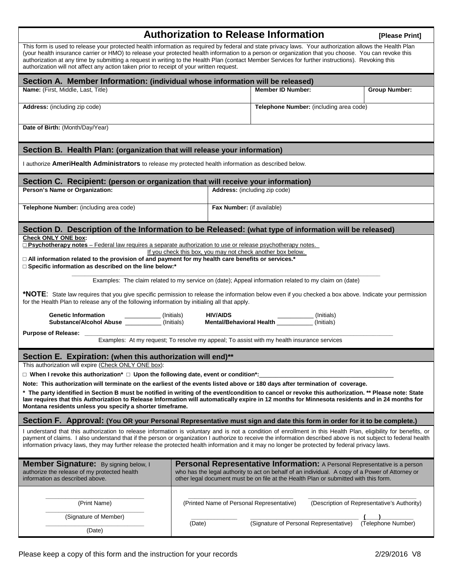# **Authorization to Release Information** [Please Print]

| This form is used to release your protected health information as required by federal and state privacy laws. Your authorization allows the Health Plan<br>(your health insurance carrier or HMO) to release your protected health information to a person or organization that you choose. You can revoke this<br>authorization at any time by submitting a request in writing to the Health Plan (contact Member Services for further instructions). Revoking this<br>authorization will not affect any action taken prior to receipt of your written request. |                                                                                      |                                                                                                                                                                                      |
|------------------------------------------------------------------------------------------------------------------------------------------------------------------------------------------------------------------------------------------------------------------------------------------------------------------------------------------------------------------------------------------------------------------------------------------------------------------------------------------------------------------------------------------------------------------|--------------------------------------------------------------------------------------|--------------------------------------------------------------------------------------------------------------------------------------------------------------------------------------|
| Section A. Member Information: (individual whose information will be released)                                                                                                                                                                                                                                                                                                                                                                                                                                                                                   |                                                                                      |                                                                                                                                                                                      |
| Name: (First, Middle, Last, Title)                                                                                                                                                                                                                                                                                                                                                                                                                                                                                                                               | <b>Member ID Number:</b>                                                             | <b>Group Number:</b>                                                                                                                                                                 |
| Address: (including zip code)                                                                                                                                                                                                                                                                                                                                                                                                                                                                                                                                    |                                                                                      | Telephone Number: (including area code)                                                                                                                                              |
| Date of Birth: (Month/Day/Year)                                                                                                                                                                                                                                                                                                                                                                                                                                                                                                                                  |                                                                                      |                                                                                                                                                                                      |
| Section B. Health Plan: (organization that will release your information)                                                                                                                                                                                                                                                                                                                                                                                                                                                                                        |                                                                                      |                                                                                                                                                                                      |
| I authorize AmeriHealth Administrators to release my protected health information as described below.                                                                                                                                                                                                                                                                                                                                                                                                                                                            |                                                                                      |                                                                                                                                                                                      |
| Section C. Recipient: (person or organization that will receive your information)                                                                                                                                                                                                                                                                                                                                                                                                                                                                                |                                                                                      |                                                                                                                                                                                      |
| Person's Name or Organization:                                                                                                                                                                                                                                                                                                                                                                                                                                                                                                                                   | Address: (including zip code)                                                        |                                                                                                                                                                                      |
| Telephone Number: (including area code)                                                                                                                                                                                                                                                                                                                                                                                                                                                                                                                          | Fax Number: (if available)                                                           |                                                                                                                                                                                      |
| Section D. Description of the Information to be Released: (what type of information will be released)                                                                                                                                                                                                                                                                                                                                                                                                                                                            |                                                                                      |                                                                                                                                                                                      |
| <b>Check ONLY ONE box:</b><br>$\Box$ Psychotherapy notes – Federal law requires a separate authorization to use or release psychotherapy notes.<br>If you check this box, you may not check another box below.<br>$\Box$ All information related to the provision of and payment for my health care benefits or services.*<br>□ Specific information as described on the line below:*<br>Examples: The claim related to my service on (date); Appeal information related to my claim on (date)                                                                   |                                                                                      |                                                                                                                                                                                      |
| *NOTE: State law requires that you give specific permission to release the information below even if you checked a box above. Indicate your permission<br>for the Health Plan to release any of the following information by initialing all that apply.                                                                                                                                                                                                                                                                                                          |                                                                                      |                                                                                                                                                                                      |
| <b>HIV/AIDS</b><br>Genetic Information<br>Substance/Alcohol Abuse ____________(Initials)<br>(Initials)<br>Mental/Behavioral Health<br>(Initials)<br>(Initials)                                                                                                                                                                                                                                                                                                                                                                                                   |                                                                                      |                                                                                                                                                                                      |
| <b>Purpose of Release:</b><br>Examples: At my request; To resolve my appeal; To assist with my health insurance services                                                                                                                                                                                                                                                                                                                                                                                                                                         |                                                                                      |                                                                                                                                                                                      |
|                                                                                                                                                                                                                                                                                                                                                                                                                                                                                                                                                                  |                                                                                      |                                                                                                                                                                                      |
| Section E. Expiration: (when this authorization will end)**                                                                                                                                                                                                                                                                                                                                                                                                                                                                                                      |                                                                                      |                                                                                                                                                                                      |
| This authorization will expire (Check ONLY ONE box):                                                                                                                                                                                                                                                                                                                                                                                                                                                                                                             |                                                                                      |                                                                                                                                                                                      |
| $\Box$ When I revoke this authorization* $\Box$ Upon the following date, event or condition*:<br>Note: This authorization will terminate on the earliest of the events listed above or 180 days after termination of coverage.                                                                                                                                                                                                                                                                                                                                   |                                                                                      |                                                                                                                                                                                      |
| * The party identified in Section B must be notified in writing of the event/condition to cancel or revoke this authorization. ** Please note: State<br>law requires that this Authorization to Release Information will automatically expire in 12 months for Minnesota residents and in 24 months for<br>Montana residents unless you specify a shorter timeframe.                                                                                                                                                                                             |                                                                                      |                                                                                                                                                                                      |
| Section F. Approval: (You OR your Personal Representative must sign and date this form in order for it to be complete.)                                                                                                                                                                                                                                                                                                                                                                                                                                          |                                                                                      |                                                                                                                                                                                      |
| I understand that this authorization to release information is voluntary and is not a condition of enrollment in this Health Plan, eligibility for benefits, or<br>payment of claims. I also understand that if the person or organization I authorize to receive the information described above is not subject to federal health<br>information privacy laws, they may further release the protected health information and it may no longer be protected by federal privacy laws.                                                                             |                                                                                      |                                                                                                                                                                                      |
| Member Signature: By signing below, I<br>authorize the release of my protected health<br>information as described above.                                                                                                                                                                                                                                                                                                                                                                                                                                         | other legal document must be on file at the Health Plan or submitted with this form. | <b>Personal Representative Information:</b> A Personal Representative is a person<br>who has the legal authority to act on behalf of an individual. A copy of a Power of Attorney or |
| (Print Name)<br>(Signature of Member)                                                                                                                                                                                                                                                                                                                                                                                                                                                                                                                            | (Printed Name of Personal Representative)                                            | (Description of Representative's Authority)                                                                                                                                          |
| (Date)                                                                                                                                                                                                                                                                                                                                                                                                                                                                                                                                                           | (Signature of Personal Representative)                                               | (Telephone Number)                                                                                                                                                                   |
| (Date)                                                                                                                                                                                                                                                                                                                                                                                                                                                                                                                                                           |                                                                                      |                                                                                                                                                                                      |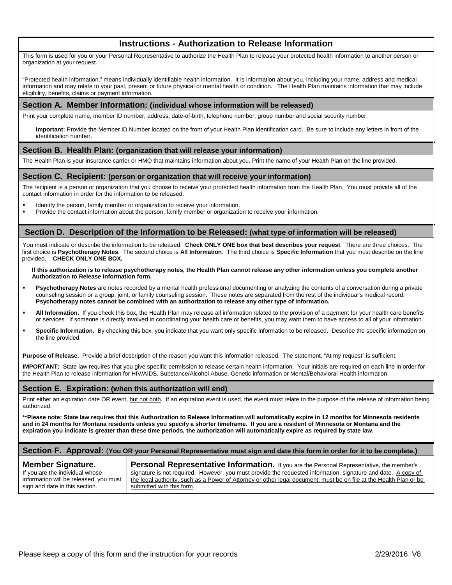## **Instructions - Authorization to Release Information**

This form is used for you or your Personal Representative to authorize the Health Plan to release your protected health information to another person or organization at your request.

"Protected health information," means individually identifiable health information. It is information about you, including your name, address and medical information and may relate to your past, present or future physical or mental health or condition. The Health Plan maintains information that may include eligibility, benefits, claims or payment information.

#### **Section A. Member Information: (individual whose information will be released)**

Print your complete name, member ID number, address, date-of-birth, telephone number, group number and social security number.

**Important:** Provide the Member ID Number located on the front of your Health Plan identification card. Be sure to include any letters in front of the identification number.

#### **Section B. Health Plan: (organization that will release your information)**

The Health Plan is your insurance carrier or HMO that maintains information about you. Print the name of your Health Plan on the line provided.

#### **Section C. Recipient: (person or organization that will receive your information)**

The recipient is a person or organization that you choose to receive your protected health information from the Health Plan. You must provide all of the contact information in order for the information to be released.

- Identify the person, family member or organization to receive your information.<br>Provide the contact information about the person, family member or organization
- Provide the contact information about the person, family member or organization to receive your information.

#### **Section D. Description of the Information to be Released: (what type of information will be released)**

You must indicate or describe the information to be released. **Check ONLY ONE box that best describes your request**. There are three choices. The first choice is **Psychotherapy Notes**. The second choice is **All Information**. The third choice is **Specific Information** that you must describe on the line provided. **CHECK ONLY ONE BOX.** 

#### **If this authorization is to release psychotherapy notes, the Health Plan cannot release any other information unless you complete another Authorization to Release Information form.**

- **Psychotherapy Notes** are notes recorded by a mental health professional documenting or analyzing the contents of a conversation during a private counseling session or a group, joint, or family counseling session. These notes are separated from the rest of the individual's medical record. **Psychotherapy notes cannot be combined with an authorization to release any other type of information.**
- **All Information.** If you check this box, the Health Plan may release all information related to the provision of a payment for your health care benefits or services. If someone is directly involved in coordinating your health care or benefits, you may want them to have access to all of your information.
- **Specific Information.** By checking this box, you indicate that you want only specific information to be released. Describe the specific information on the line provided.

**Purpose of Release.** Provide a brief description of the reason you want this information released. The statement, "At my request" is sufficient.

**IMPORTANT:** State law requires that you give specific permission to release certain health information. Your initials are required on each line in order for the Health Plan to release information for HIV/AIDS, Substance/Alcohol Abuse, Genetic information or Mental/Behavioral Health information.

#### **Section E. Expiration: (when this authorization will end)**

Print either an expiration date OR event, but not both. If an expiration event is used, the event must relate to the purpose of the release of information being authorized.

**\*\*Please note: State law requires that this Authorization to Release Information will automatically expire in 12 months for Minnesota residents and in 24 months for Montana residents unless you specify a shorter timeframe. If you are a resident of Minnesota or Montana and the expiration you indicate is greater than these time periods, the authorization will automatically expire as required by state law.**

#### **Section F. Approval:** (**You OR your Personal Representative must sign and date this form in order for it to be complete.)**

#### **Member Signature.**

If you are the individual whose information will be released, you must sign and date in this section.

Personal Representative Information. If you are the Personal Representative, the member's signature is not required. However, you must provide the requested information, signature and date. A copy of the legal authority, such as a Power of Attorney or other legal document, must be on file at the Health Plan or be submitted with this form.